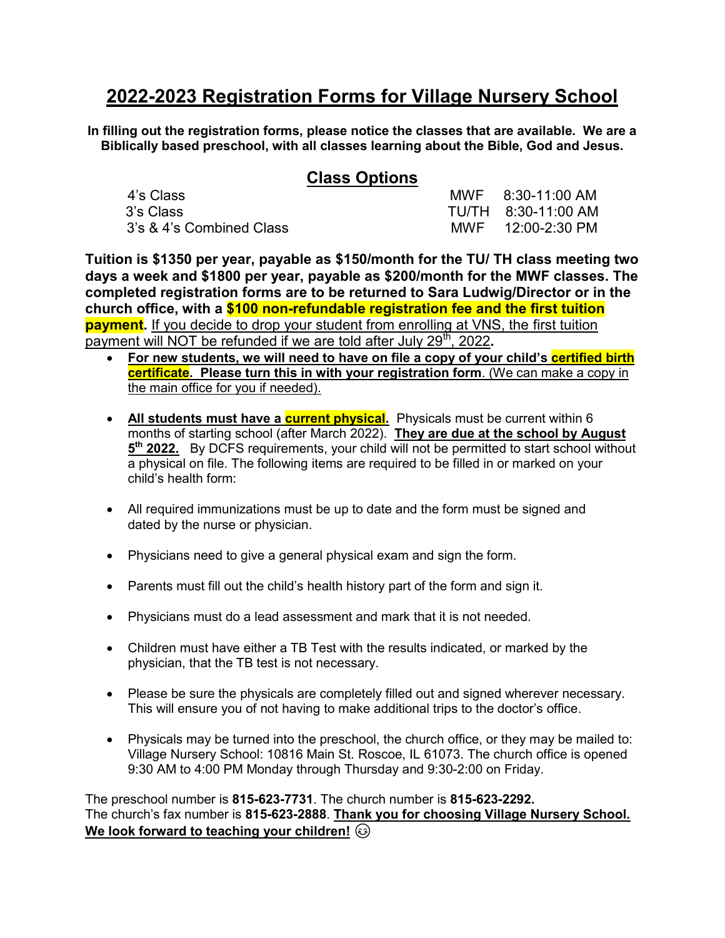# **2022-2023 Registration Forms for Village Nursery School**

**In filling out the registration forms, please notice the classes that are available. We are a Biblically based preschool, with all classes learning about the Bible, God and Jesus.**

# **Class Options**

| 4's Class                | MWF 8:30-11:00 AM   |
|--------------------------|---------------------|
| 3's Class                | TU/TH 8:30-11:00 AM |
| 3's & 4's Combined Class | MWF 12:00-2:30 PM   |

**Tuition is \$1350 per year, payable as \$150/month for the TU/ TH class meeting two days a week and \$1800 per year, payable as \$200/month for the MWF classes. The completed registration forms are to be returned to Sara Ludwig/Director or in the church office, with a \$100 non-refundable registration fee and the first tuition payment**. If you decide to drop your student from enrolling at VNS, the first tuition payment will NOT be refunded if we are told after July 29<sup>th</sup>, 2022.

- **For new students, we will need to have on file a copy of your child's certified birth certificate. Please turn this in with your registration form**. (We can make a copy in the main office for you if needed).
- **All students must have a current physical.** Physicals must be current within 6 months of starting school (after March 2022). **They are due at the school by August**  5<sup>th</sup> 2022. By DCFS requirements, your child will not be permitted to start school without a physical on file. The following items are required to be filled in or marked on your child's health form:
- All required immunizations must be up to date and the form must be signed and dated by the nurse or physician.
- Physicians need to give a general physical exam and sign the form.
- Parents must fill out the child's health history part of the form and sign it.
- Physicians must do a lead assessment and mark that it is not needed.
- Children must have either a TB Test with the results indicated, or marked by the physician, that the TB test is not necessary.
- Please be sure the physicals are completely filled out and signed wherever necessary. This will ensure you of not having to make additional trips to the doctor's office.
- Physicals may be turned into the preschool, the church office, or they may be mailed to: Village Nursery School: 10816 Main St. Roscoe, IL 61073. The church office is opened 9:30 AM to 4:00 PM Monday through Thursday and 9:30-2:00 on Friday.

The preschool number is **815-623-7731**. The church number is **815-623-2292.** The church's fax number is **815-623-2888**. **Thank you for choosing Village Nursery School. We look forward to teaching your children!**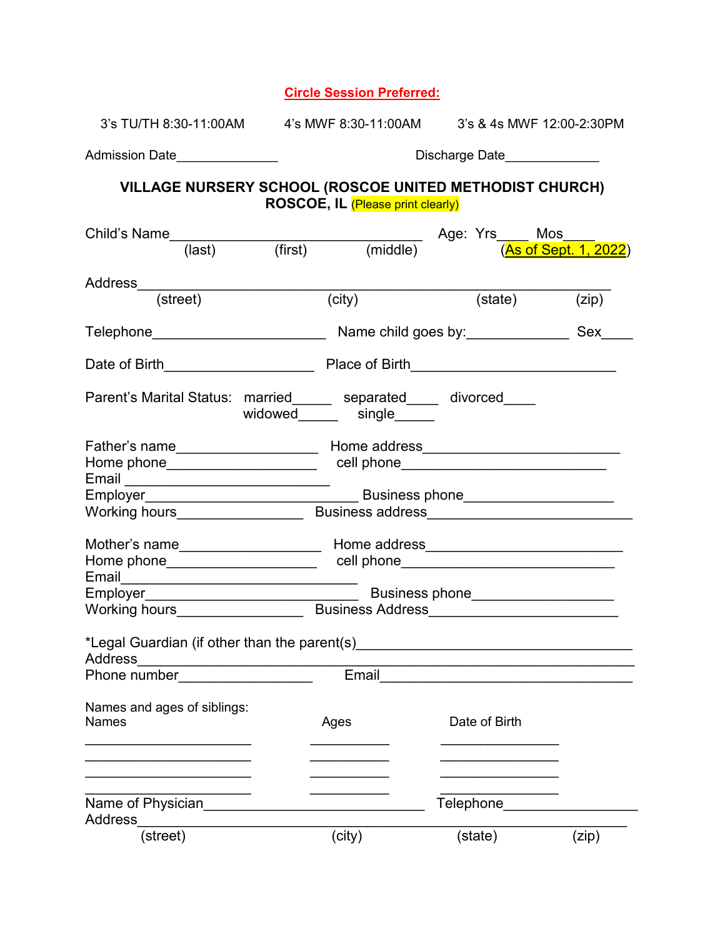# **Circle Session Preferred:**

|                                                                                              |  | 3's TU/TH 8:30-11:00AM 4's MWF 8:30-11:00AM 3's & 4s MWF 12:00-2:30PM |               |          |  |
|----------------------------------------------------------------------------------------------|--|-----------------------------------------------------------------------|---------------|----------|--|
| Admission Date _______________                                                               |  | Discharge Date                                                        |               |          |  |
| VILLAGE NURSERY SCHOOL (ROSCOE UNITED METHODIST CHURCH)<br>ROSCOE, IL (Please print clearly) |  |                                                                       |               |          |  |
|                                                                                              |  |                                                                       |               |          |  |
|                                                                                              |  | (city)                                                                | (state)       | (zip)    |  |
|                                                                                              |  |                                                                       |               | $Sex __$ |  |
|                                                                                              |  |                                                                       |               |          |  |
| Parent's Marital Status: married______ separated____ divorced____                            |  | widowed_______ single_____                                            |               |          |  |
|                                                                                              |  |                                                                       |               |          |  |
|                                                                                              |  |                                                                       |               |          |  |
|                                                                                              |  |                                                                       |               |          |  |
| Mother's name___________________________ Home address___________________________             |  |                                                                       |               |          |  |
| Email<br>Employer<br>Employer                                                                |  |                                                                       |               |          |  |
|                                                                                              |  |                                                                       |               |          |  |
| *Legal Guardian (if other than the parent(s)________<br>Address                              |  |                                                                       |               |          |  |
| <b>Phone number Example 2014</b>                                                             |  | Email                                                                 |               |          |  |
| Names and ages of siblings:<br>Names                                                         |  | Ages                                                                  | Date of Birth |          |  |
| Name of Physician<br>Address                                                                 |  |                                                                       | Telephone     |          |  |
| (street)                                                                                     |  | (city)                                                                | (state)       | (zip)    |  |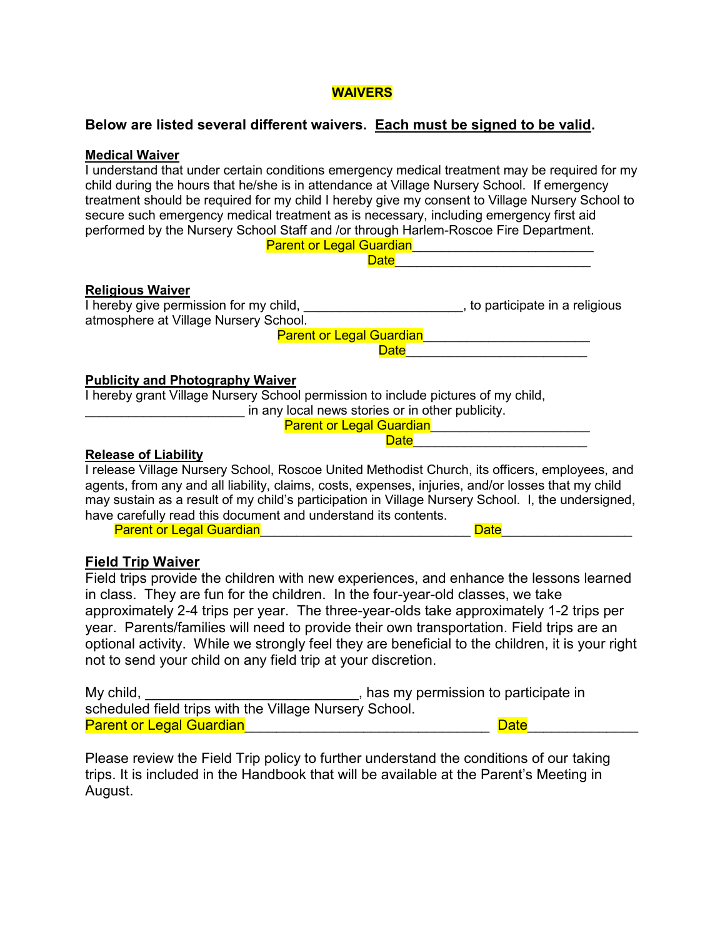### **WAIVERS**

### **Below are listed several different waivers. Each must be signed to be valid.**

### **Medical Waiver**

I understand that under certain conditions emergency medical treatment may be required for my child during the hours that he/she is in attendance at Village Nursery School. If emergency treatment should be required for my child I hereby give my consent to Village Nursery School to secure such emergency medical treatment as is necessary, including emergency first aid performed by the Nursery School Staff and /or through Harlem-Roscoe Fire Department. Parent or Legal Guardian

| <u>aromeor Logar Oaaraian </u> |  |
|--------------------------------|--|
|                                |  |

### **Religious Waiver**

| I hereby give permission for my child, | , to participate in a religious |
|----------------------------------------|---------------------------------|
| atmosphere at Village Nursery School.  |                                 |
| <b>Parent or Legal Guardian</b>        |                                 |
| Date                                   |                                 |

### **Publicity and Photography Waiver**

I hereby grant Village Nursery School permission to include pictures of my child,

in any local news stories or in other publicity.

Parent or Legal Guardian

Date\_\_\_\_\_\_\_\_\_\_\_\_\_\_\_\_\_\_\_\_\_\_\_\_

### **Release of Liability**

I release Village Nursery School, Roscoe United Methodist Church, its officers, employees, and agents, from any and all liability, claims, costs, expenses, injuries, and/or losses that my child may sustain as a result of my child's participation in Village Nursery School. I, the undersigned, have carefully read this document and understand its contents.

Parent or Legal Guardian **Date** and the control of the Date

### **Field Trip Waiver**

Field trips provide the children with new experiences, and enhance the lessons learned in class. They are fun for the children. In the four-year-old classes, we take approximately 2-4 trips per year. The three-year-olds take approximately 1-2 trips per year. Parents/families will need to provide their own transportation. Field trips are an optional activity. While we strongly feel they are beneficial to the children, it is your right not to send your child on any field trip at your discretion.

| My child,                                              | , has my permission to participate in |
|--------------------------------------------------------|---------------------------------------|
| scheduled field trips with the Village Nursery School. |                                       |
| <b>Parent or Legal Guardian</b>                        | <b>Date</b>                           |

Please review the Field Trip policy to further understand the conditions of our taking trips. It is included in the Handbook that will be available at the Parent's Meeting in August.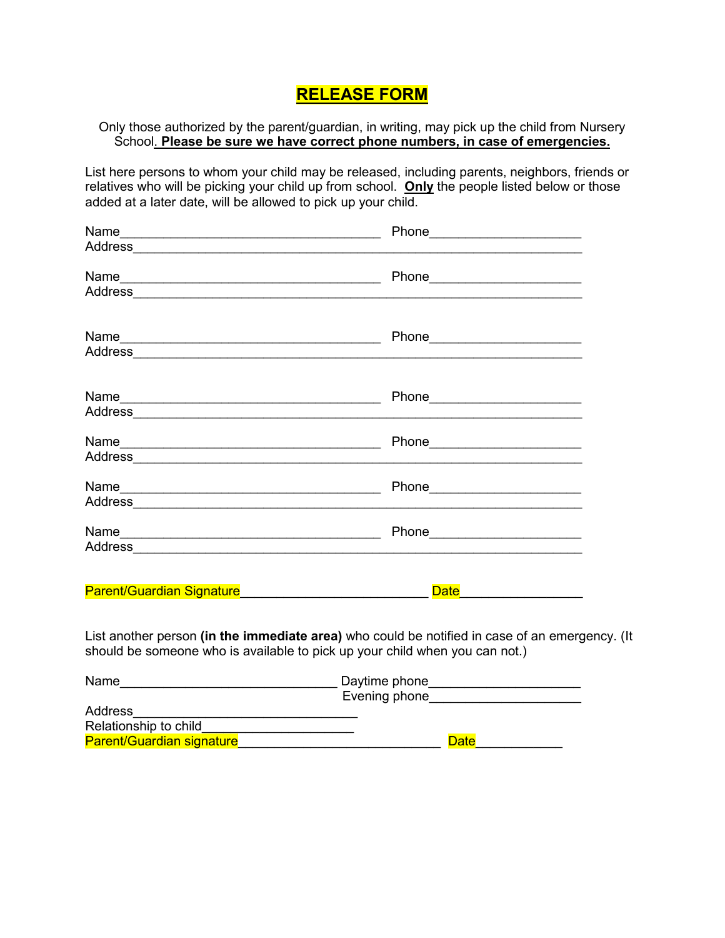# **RELEASE FORM**

Only those authorized by the parent/guardian, in writing, may pick up the child from Nursery School. Please be sure we have correct phone numbers, in case of emergencies.

List here persons to whom your child may be released, including parents, neighbors, friends or relatives who will be picking your child up from school. **Only** the people listed below or those added at a later date, will be allowed to pick up your child.

|                                                                                                                                                                               | Phone________________________  |
|-------------------------------------------------------------------------------------------------------------------------------------------------------------------------------|--------------------------------|
|                                                                                                                                                                               |                                |
|                                                                                                                                                                               | Phone_______________________   |
|                                                                                                                                                                               |                                |
|                                                                                                                                                                               |                                |
|                                                                                                                                                                               | Phone________________________  |
|                                                                                                                                                                               | Phone_______________________   |
|                                                                                                                                                                               |                                |
|                                                                                                                                                                               |                                |
|                                                                                                                                                                               |                                |
|                                                                                                                                                                               | Phone_________________________ |
|                                                                                                                                                                               |                                |
|                                                                                                                                                                               |                                |
|                                                                                                                                                                               |                                |
| Parent/Guardian Signaturesser and the control of the control of the control of the control of the control of t                                                                | Date ______________            |
| List another person (in the immediate area) who could be notified in case of an emergency. (It<br>should be someone who is available to pick up your child when you can not.) |                                |

| Name                             | Daytime phone |
|----------------------------------|---------------|
|                                  | Evening phone |
| <b>Address</b>                   |               |
| Relationship to child            |               |
| <b>Parent/Guardian signature</b> | <b>Date</b>   |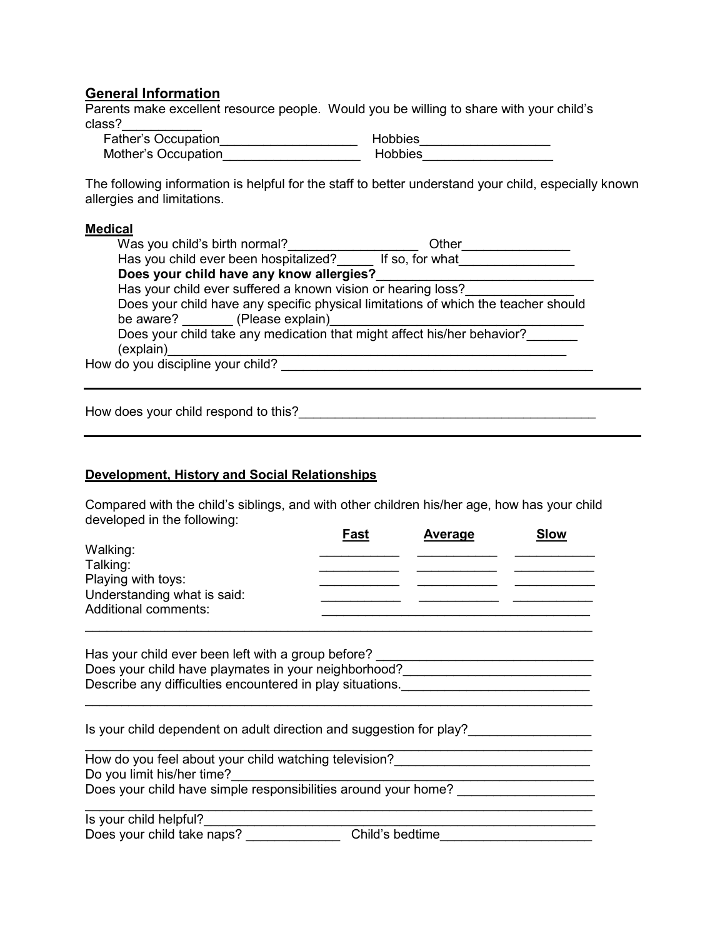# **General Information**

Parents make excellent resource people. Would you be willing to share with your child's class?\_\_\_\_\_\_\_\_\_\_\_

| <b>Father's Occupation</b> | <b>Hobbies</b> |
|----------------------------|----------------|
| Mother's Occupation        | Hobbies        |

The following information is helpful for the staff to better understand your child, especially known allergies and limitations.

#### **Medical**

| Was you child's birth normal?                                           | Other                                                                              |
|-------------------------------------------------------------------------|------------------------------------------------------------------------------------|
| Has you child ever been hospitalized? If so, for what                   |                                                                                    |
| Does your child have any know allergies?                                |                                                                                    |
| Has your child ever suffered a known vision or hearing loss?            |                                                                                    |
|                                                                         | Does your child have any specific physical limitations of which the teacher should |
| be aware? (Please explain)                                              |                                                                                    |
| Does your child take any medication that might affect his/her behavior? |                                                                                    |
| (explain)                                                               |                                                                                    |
| How do you discipline your child?                                       |                                                                                    |
|                                                                         |                                                                                    |

How does your child respond to this?\_\_\_\_\_\_\_\_\_\_\_\_\_\_\_\_\_\_\_\_\_\_\_\_\_\_\_\_\_\_\_\_\_\_\_\_\_\_\_\_\_

### **Development, History and Social Relationships**

Compared with the child's siblings, and with other children his/her age, how has your child developed in the following:

|                                                                                                                   | Fast | Average         | <b>Slow</b> |
|-------------------------------------------------------------------------------------------------------------------|------|-----------------|-------------|
| Walking:                                                                                                          |      |                 |             |
| Talking:                                                                                                          |      |                 |             |
| Playing with toys:                                                                                                |      |                 |             |
| Understanding what is said:                                                                                       |      |                 |             |
| <b>Additional comments:</b>                                                                                       |      |                 |             |
|                                                                                                                   |      |                 |             |
|                                                                                                                   |      |                 |             |
| Has your child ever been left with a group before?                                                                |      |                 |             |
| Does your child have playmates in your neighborhood?<br>Describe any difficulties encountered in play situations. |      |                 |             |
|                                                                                                                   |      |                 |             |
|                                                                                                                   |      |                 |             |
| Is your child dependent on adult direction and suggestion for play?                                               |      |                 |             |
|                                                                                                                   |      |                 |             |
| How do you feel about your child watching television?                                                             |      |                 |             |
| Do you limit his/her time?                                                                                        |      |                 |             |
| Does your child have simple responsibilities around your home?                                                    |      |                 |             |
|                                                                                                                   |      |                 |             |
| Is your child helpful?                                                                                            |      |                 |             |
| Does your child take naps?                                                                                        |      | Child's bedtime |             |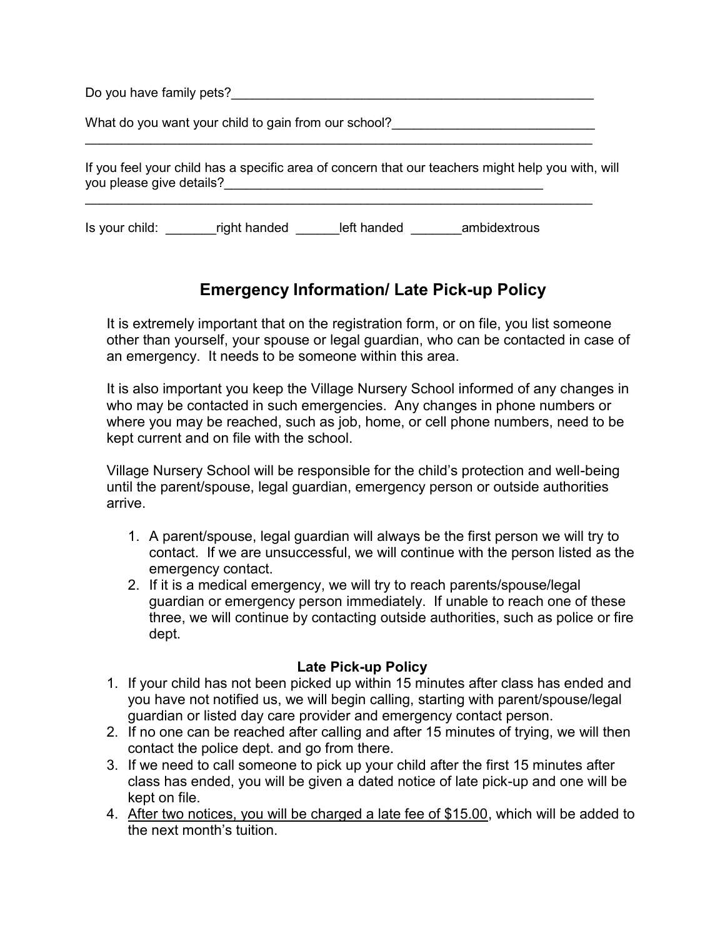| Do you have family pets? |                                                                                                   |             |              |  |
|--------------------------|---------------------------------------------------------------------------------------------------|-------------|--------------|--|
|                          | What do you want your child to gain from our school?                                              |             |              |  |
| you please give details? | If you feel your child has a specific area of concern that our teachers might help you with, will |             |              |  |
| Is your child:           | right handed                                                                                      | left handed | ambidextrous |  |

# **Emergency Information/ Late Pick-up Policy**

It is extremely important that on the registration form, or on file, you list someone other than yourself, your spouse or legal guardian, who can be contacted in case of an emergency. It needs to be someone within this area.

It is also important you keep the Village Nursery School informed of any changes in who may be contacted in such emergencies. Any changes in phone numbers or where you may be reached, such as job, home, or cell phone numbers, need to be kept current and on file with the school.

Village Nursery School will be responsible for the child's protection and well-being until the parent/spouse, legal guardian, emergency person or outside authorities arrive.

- 1. A parent/spouse, legal guardian will always be the first person we will try to contact. If we are unsuccessful, we will continue with the person listed as the emergency contact.
- 2. If it is a medical emergency, we will try to reach parents/spouse/legal guardian or emergency person immediately. If unable to reach one of these three, we will continue by contacting outside authorities, such as police or fire dept.

## **Late Pick-up Policy**

- 1. If your child has not been picked up within 15 minutes after class has ended and you have not notified us, we will begin calling, starting with parent/spouse/legal guardian or listed day care provider and emergency contact person.
- 2. If no one can be reached after calling and after 15 minutes of trying, we will then contact the police dept. and go from there.
- 3. If we need to call someone to pick up your child after the first 15 minutes after class has ended, you will be given a dated notice of late pick-up and one will be kept on file.
- 4. After two notices, you will be charged a late fee of \$15.00, which will be added to the next month's tuition.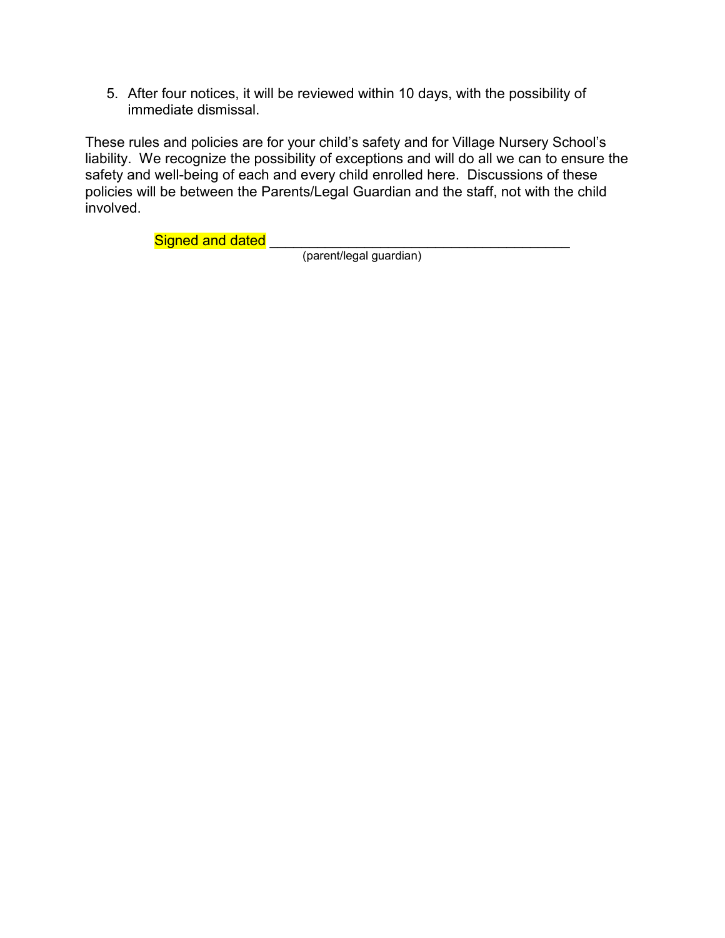5. After four notices, it will be reviewed within 10 days, with the possibility of immediate dismissal.

These rules and policies are for your child's safety and for Village Nursery School's liability. We recognize the possibility of exceptions and will do all we can to ensure the safety and well-being of each and every child enrolled here. Discussions of these policies will be between the Parents/Legal Guardian and the staff, not with the child involved.

Signed and dated \_\_\_\_\_\_\_\_\_\_\_\_\_\_\_\_\_\_\_\_\_\_\_\_\_\_\_\_\_\_\_\_\_\_\_\_\_\_

(parent/legal guardian)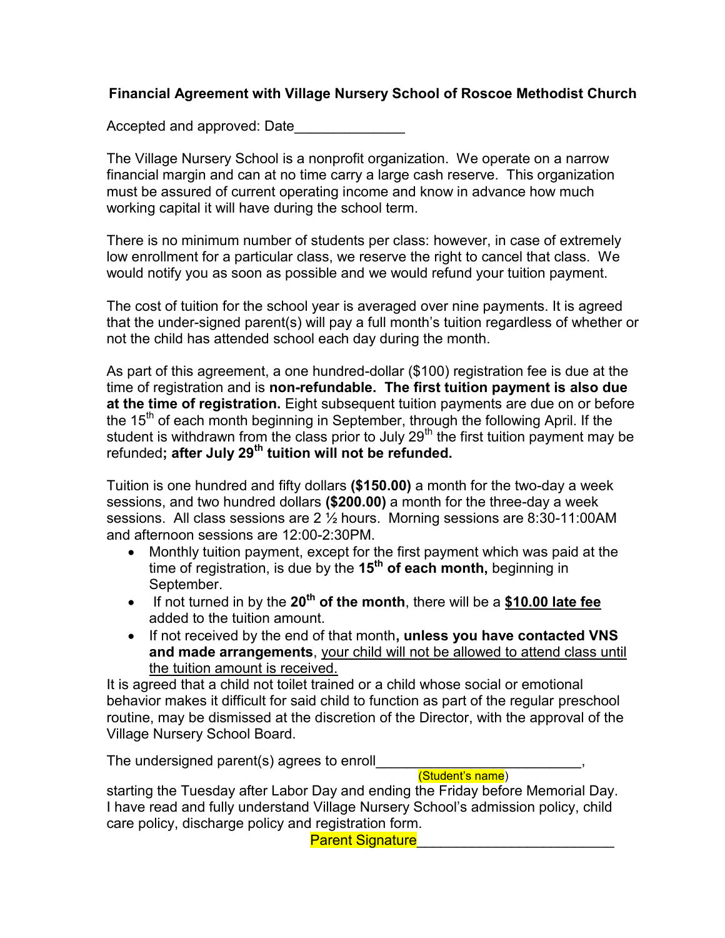# **Financial Agreement with Village Nursery School of Roscoe Methodist Church**

Accepted and approved: Date

The Village Nursery School is a nonprofit organization. We operate on a narrow financial margin and can at no time carry a large cash reserve. This organization must be assured of current operating income and know in advance how much working capital it will have during the school term.

There is no minimum number of students per class: however, in case of extremely low enrollment for a particular class, we reserve the right to cancel that class. We would notify you as soon as possible and we would refund your tuition payment.

The cost of tuition for the school year is averaged over nine payments. It is agreed that the under-signed parent(s) will pay a full month's tuition regardless of whether or not the child has attended school each day during the month.

As part of this agreement, a one hundred-dollar (\$100) registration fee is due at the time of registration and is **non-refundable. The first tuition payment is also due at the time of registration.** Eight subsequent tuition payments are due on or before the 15<sup>th</sup> of each month beginning in September, through the following April. If the student is withdrawn from the class prior to July  $29<sup>th</sup>$  the first tuition payment may be refunded**; after July 29th tuition will not be refunded.** 

Tuition is one hundred and fifty dollars **(\$150.00)** a month for the two-day a week sessions, and two hundred dollars **(\$200.00)** a month for the three-day a week sessions. All class sessions are 2 ½ hours. Morning sessions are 8:30-11:00AM and afternoon sessions are 12:00-2:30PM.

- Monthly tuition payment, except for the first payment which was paid at the time of registration, is due by the **15th of each month,** beginning in September.
- If not turned in by the **20th of the month**, there will be a **\$10.00 late fee** added to the tuition amount.
- If not received by the end of that month**, unless you have contacted VNS and made arrangements**, your child will not be allowed to attend class until the tuition amount is received.

It is agreed that a child not toilet trained or a child whose social or emotional behavior makes it difficult for said child to function as part of the regular preschool routine, may be dismissed at the discretion of the Director, with the approval of the Village Nursery School Board.

The undersigned parent(s) agrees to enroll

(Student's name)

starting the Tuesday after Labor Day and ending the Friday before Memorial Day. I have read and fully understand Village Nursery School's admission policy, child care policy, discharge policy and registration form.

**Parent Signature**